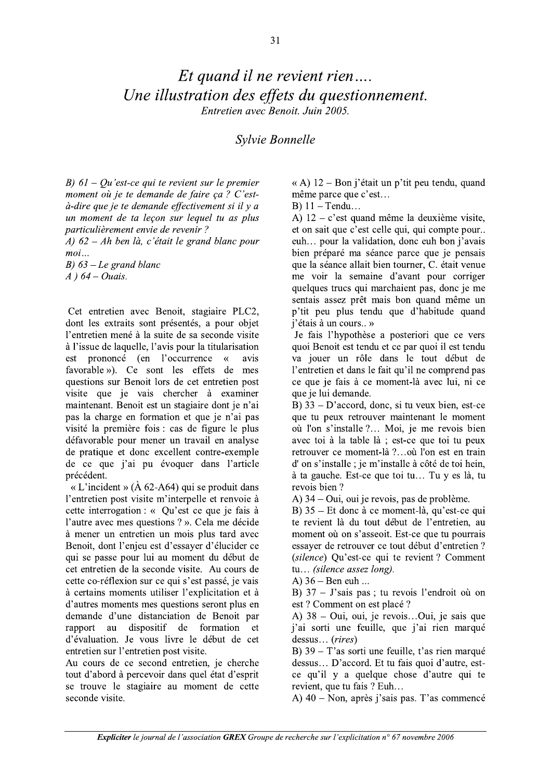## Et quand il ne revient rien... Une illustration des effets du questionnement. Entretien avec Benoit. Juin 2005.

## Svlvie Bonnelle

B)  $61 - Qu$ 'est-ce qui te revient sur le premier moment où je te demande de faire ça ? C'està-dire que je te demande effectivement si il y a un moment de ta leçon sur lequel tu as plus particulièrement envie de revenir ?

A)  $62 - Ah$  ben là, c'était le grand blanc pour  $moi...$ 

B)  $63$  – Le grand blanc  $A$ ) 64 – Ouais.

Cet entretien avec Benoit, stagiaire PLC2, dont les extraits sont présentés, a pour objet l'entretien mené à la suite de sa seconde visite à l'issue de laquelle, l'avis pour la titularisation prononcé (en l'occurrence est  $\overline{\mathcal{R}}$ avis favorable »). Ce sont les effets de mes questions sur Benoit lors de cet entretien post visite que je vais chercher à examiner maintenant. Benoit est un stagiaire dont je n'ai pas la charge en formation et que je n'ai pas visité la première fois : cas de figure le plus défavorable pour mener un travail en analyse de pratique et donc excellent contre-exemple de ce que j'ai pu évoquer dans l'article précédent.

« L'incident » ( $\AA$  62-A64) qui se produit dans l'entretien post visite m'interpelle et renvoie à cette interrogation : « Qu'est ce que je fais à l'autre avec mes questions ? ». Cela me décide à mener un entretien un mois plus tard avec Benoit, dont l'enieu est d'essaver d'élucider ce qui se passe pour lui au moment du début de cet entretien de la seconde visite. Au cours de cette co-réflexion sur ce qui s'est passé, je vais à certains moments utiliser l'explicitation et à d'autres moments mes questions seront plus en demande d'une distanciation de Benoit par rapport au dispositif de formation  $-$ et d'évaluation. Je vous livre le début de cet entretien sur l'entretien post visite.

Au cours de ce second entretien, je cherche tout d'abord à percevoir dans quel état d'esprit se trouve le stagiaire au moment de cette seconde visite.

« A) 12 – Bon j'était un p'tit peu tendu, quand même parce que c'est...

 $B)$  11 – Tendu...

A)  $12 - c$ 'est quand même la deuxième visite, et on sait que c'est celle qui, qui compte pour... euh... pour la validation, donc euh bon j'avais bien préparé ma séance parce que je pensais que la séance allait bien tourner, C. était venue me voir la semaine d'avant pour corriger quelques trucs qui marchaient pas, donc je me sentais assez prêt mais bon quand même un p'tit peu plus tendu que d'habitude quand j'étais à un cours.. »

Je fais l'hypothèse a posteriori que ce vers quoi Benoit est tendu et ce par quoi il est tendu va jouer un rôle dans le tout début de l'entretien et dans le fait qu'il ne comprend pas ce que je fais à ce moment-là avec lui, ni ce que je lui demande.

B)  $33 - D'accord$ , donc, si tu veux bien, est-ce que tu peux retrouver maintenant le moment où l'on s'installe ?... Moi, je me revois bien avec toi à la table là ; est-ce que toi tu peux retrouver ce moment-là ?...où l'on est en train d'on s'installe ; je m'installe à côté de toi hein, à ta gauche. Est-ce que toi tu... Tu y es là, tu revois bien?

A) 34 – Oui, oui je revois, pas de problème.

B) 35 – Et donc à ce moment-là, qu'est-ce qui te revient là du tout début de l'entretien, au moment où on s'asseoit. Est-ce que tu pourrais essaver de retrouver ce tout début d'entretien? (silence) Qu'est-ce qui te revient ? Comment tu... (silence assez long).

A)  $36 - \text{Ben}$  euh ...

B)  $37 -$  J'sais pas; tu revois l'endroit où on est ? Comment on est placé ?

A) 38 – Oui, oui, je revois...Oui, je sais que j'ai sorti une feuille, que j'ai rien marqué dessus... (rires)

B)  $39 - T'$ as sorti une feuille, t'as rien marqué dessus... D'accord. Et tu fais quoi d'autre, estce qu'il y a quelque chose d'autre qui te revient, que tu fais ? Euh...

A)  $40 - \text{Non}$ , après j'sais pas. T'as commencé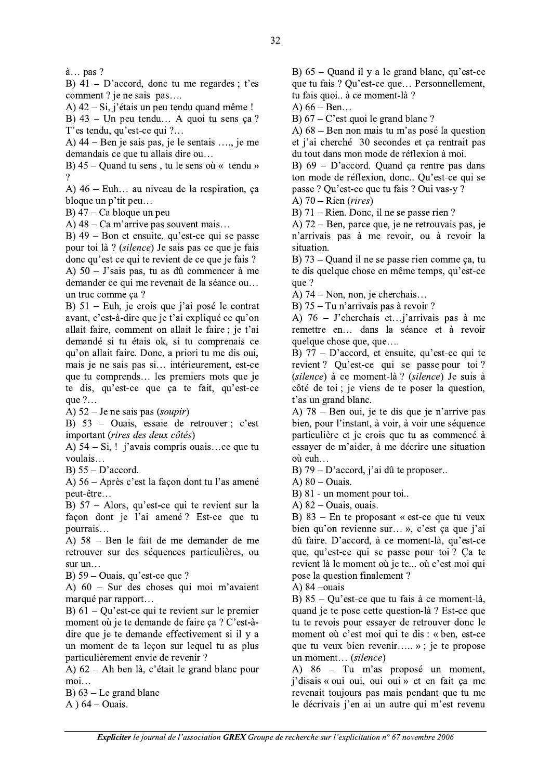$\lambda$ ... pas ?

B)  $41 - D'accord$ , donc tu me regardes; t'es comment ? je ne sais pas....

A)  $42 - Si$ , j'étais un peu tendu quand même !

B)  $43$  – Un peu tendu... A quoi tu sens ça? T'es tendu, qu'est-ce qui ?...

A)  $44 -$ Ben je sais pas, je le sentais ..., je me demandais ce que tu allais dire ou...

B)  $45 -$ Quand tu sens, tu le sens où « tendu »

A)  $46$  – Euh... au niveau de la respiration, ca bloque un p'tit peu...

 $B$ ) 47 – Ca bloque un peu

A)  $48 - Ca$  m'arrive pas souvent mais...

B)  $49$  – Bon et ensuite, qu'est-ce qui se passe pour toi là ? (silence) Je sais pas ce que je fais donc qu'est ce qui te revient de ce que je fais ? A)  $50 - J'$ sais pas, tu as dû commencer à me demander ce qui me revenait de la séance ou... un truc comme ca?

B)  $51$  – Euh, je crois que j'ai posé le contrat avant, c'est-à-dire que je t'ai expliqué ce qu'on allait faire, comment on allait le faire; je t'ai demandé si tu étais ok, si tu comprenais ce qu'on allait faire. Donc, a priori tu me dis oui, mais je ne sais pas si... intérieurement, est-ce que tu comprends... les premiers mots que je te dis, qu'est-ce que ça te fait, qu'est-ce que  $?$ ...

A)  $52 -$  Je ne sais pas (soupir)

B)  $53$  – Ouais, essaie de retrouver; c'est important (rires des deux côtés)

A)  $54 - Si$ , ! j'avais compris ouais...ce que tu voulais...

B)  $55 - D'accord$ .

A) 56 – Après c'est la façon dont tu l'as amené neut-être...

B) 57 - Alors, qu'est-ce qui te revient sur la façon dont je l'ai amené? Est-ce que tu pourrais...

A) 58 – Ben le fait de me demander de me retrouver sur des séquences particulières, ou  $sur un...$ 

B)  $59 - Quais$ , qu'est-ce que ?

A)  $60 - S$ ur des choses qui moi m'avaient marqué par rapport...

B)  $61 - Qu$  est-ce qui te revient sur le premier moment où je te demande de faire ça ? C'est-àdire que je te demande effectivement si il y a un moment de ta lecon sur lequel tu as plus particulièrement envie de revenir ?

A) 62 – Ah ben là, c'était le grand blanc pour moi...

B)  $63$  – Le grand blanc

A  $64$  – Ouais.

B)  $65$  – Quand il y a le grand blanc, qu'est-ce que tu fais ? Qu'est-ce que... Personnellement, tu fais quoi.. à ce moment-là ?

A)  $66 - \text{Ben...}$ 

B)  $67 - C$ 'est quoi le grand blanc ?

A)  $68$  – Ben non mais tu m'as posé la question et j'ai cherché 30 secondes et ça rentrait pas du tout dans mon mode de réflexion à moi.

B)  $69 - D$ 'accord. Quand ça rentre pas dans ton mode de réflexion, donc.. Qu'est-ce qui se passe ? Qu'est-ce que tu fais ? Qui vas-y ?

A)  $70 -$ Rien (rires)

B)  $71 -$ Rien. Donc, il ne se passe rien?

A)  $72 -$ Ben, parce que, je ne retrouvais pas, je n'arrivais pas à me revoir, ou à revoir la situation.

B)  $73$  – Quand il ne se passe rien comme ca, tu te dis quelque chose en même temps, qu'est-ce que ?

A)  $74 - \text{Non}$ , non, je cherchais...

B) 75 - Tu n'arrivais pas à revoir ?

A)  $76 -$  J'cherchais et...; arrivais pas à me remettre en... dans la séance et à revoir quelque chose que, que....

B)  $77 - D'accord$ , et ensuite, qu'est-ce qui te revient? Qu'est-ce qui se passe pour toi? (silence) à ce moment-là ? (silence) Je suis à côté de toi ; je viens de te poser la question, t'as un grand blanc.

A) 78 – Ben oui, je te dis que je n'arrive pas bien, pour l'instant, à voir, à voir une séquence particulière et je crois que tu as commencé à essayer de m'aider, à me décrire une situation où euh...

B) 79 – D'accord, j'ai dû te proposer...

A)  $80 - Quais$ .

B) 81 - un moment pour toi..

A)  $82 -$ Ouais, ouais.

B)  $83$  – En te proposant « est-ce que tu veux bien qu'on revienne sur... », c'est ça que j'ai dû faire. D'accord, à ce moment-là, qu'est-ce que, qu'est-ce qui se passe pour toi? Ça te revient là le moment où je te... où c'est moi qui pose la question finalement ?

A)  $84$  -ouais

B)  $85 - Qu$ 'est-ce que tu fais à ce moment-là, quand je te pose cette question-là? Est-ce que tu te revois pour essayer de retrouver donc le moment où c'est moi qui te dis : « ben. est-ce que tu veux bien revenir..... »; je te propose un moment... (silence)

A) 86 – Tu m'as proposé un moment, j'disais « oui oui, oui oui » et en fait ça me revenait toujours pas mais pendant que tu me le décrivais j'en ai un autre qui m'est revenu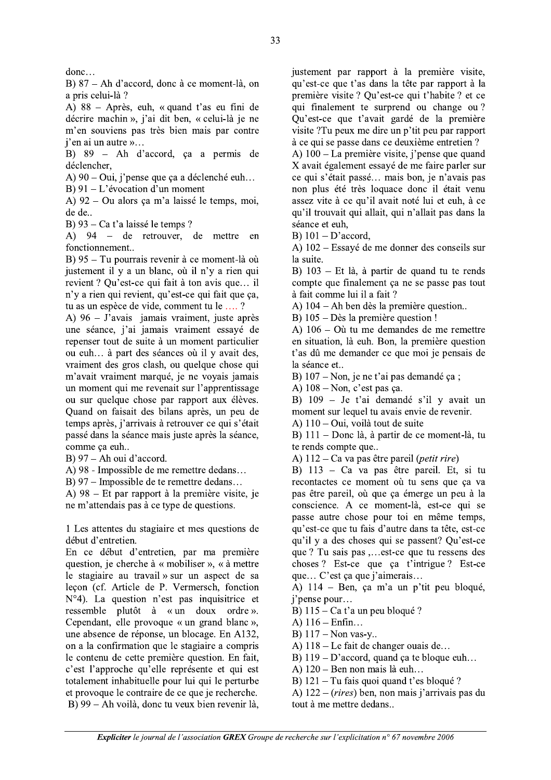$donc...$ 

B)  $87 - Ah$  d'accord, donc à ce moment-là, on a pris celui-là ?

A)  $88 -$  Après, euh, « quand t'as eu fini de décrire machin », j'ai dit ben, « celui-là je ne m'en souviens pas très bien mais par contre  $i'$ en ai un autre »...

 $B$ )  $89 - Ah$  d'accord, ca a permis de déclencher,

A) 90 – Oui, j'pense que ça a déclenché euh...

B)  $91 - L'$ évocation d'un moment

A)  $92 - Qu$  alors ca m'a laissé le temps, moi, de de..

B)  $93 - Ca t'$ a laissé le temps ?

A) 94 – de retrouver, de mettre en fonctionnement..

B) 95 – Tu pourrais revenir à ce moment-là où justement il y a un blanc, où il n'y a rien qui revient ? Qu'est-ce qui fait à ton avis que... il n'y a rien qui revient, qu'est-ce qui fait que ça, tu as un espèce de vide, comment tu le ....?

A)  $96$  – J'avais jamais vraiment, juste après une séance, j'ai jamais vraiment essayé de repenser tout de suite à un moment particulier ou euh... à part des séances où il y avait des, vraiment des gros clash, ou quelque chose qui m'avait vraiment marqué, je ne voyais jamais un moment qui me revenait sur l'apprentissage ou sur quelque chose par rapport aux élèves. Quand on faisait des bilans après, un peu de temps après, j'arrivais à retrouver ce qui s'était passé dans la séance mais juste après la séance, comme ça euh..

B)  $97 - Ah$  oui d'accord.

A) 98 - Impossible de me remettre dedans...

B) 97 – Impossible de te remettre dedans...

A)  $98$  – Et par rapport à la première visite, je ne m'attendais pas à ce type de questions.

1 Les attentes du stagiaire et mes questions de début d'entretien.

En ce début d'entretien, par ma première question, je cherche à « mobiliser », « à mettre le stagiaire au travail » sur un aspect de sa leçon (cf. Article de P. Vermersch, fonction  $N^{\circ}4$ ). La question n'est pas inquisitrice et ressemble plutôt à « un doux ordre ». ressemble plutôt à « un doux Cependant, elle provoque « un grand blanc », une absence de réponse, un blocage. En A132, on a la confirmation que le stagiaire a compris le contenu de cette première question. En fait, c'est l'approche qu'elle représente et qui est totalement inhabituelle pour lui qui le perturbe et provoque le contraire de ce que je recherche.  $\overline{B}$ ) 99 – Ah voilà, donc tu veux bien revenir là, justement par rapport à la première visite, qu'est-ce que t'as dans la tête par rapport à la première visite ? Qu'est-ce qui t'habite ? et ce qui finalement te surprend ou change ou? Qu'est-ce que t'avait gardé de la première visite ?Tu peux me dire un p'tit peu par rapport à ce qui se passe dans ce deuxième entretien ?

A)  $100$  – La première visite, j'pense que quand X avait également essayé de me faire parler sur ce qui s'était passé... mais bon, je n'avais pas non plus été très loquace donc il était venu assez vite à ce qu'il avait noté lui et euh, à ce qu'il trouvait qui allait, qui n'allait pas dans la séance et euh.

B)  $101 - D$ 'accord,

A)  $102$  – Essayé de me donner des conseils sur la suite.

B)  $103$  – Et là, à partir de quand tu te rends compte que finalement ça ne se passe pas tout à fait comme lui il a fait ?

A)  $104 - Ah$  ben dès la première question..

B)  $105 - D$ ès la première question !

A)  $106 - O\dot{u}$  tu me demandes de me remettre en situation, là euh. Bon, la première question t'as dû me demander ce que moi je pensais de la séance et...

B)  $107 - Non$ , je ne t'ai pas demandé ça ;

A)  $108 - Non$ , c'est pas ça.

B)  $109 - Je$  t'ai demandé s'il y avait un moment sur lequel tu avais envie de revenir.

A)  $110 -$ Oui, voilà tout de suite

B)  $111 -$ Donc là, à partir de ce moment-là, tu te rends compte que..

A)  $112 - Ca$  va pas être pareil (*petit rire*).

B)  $113 - Ca$  va pas être pareil. Et, si tu recontactes ce moment où tu sens que ça va pas être pareil, où que ca émerge un peu à la conscience. A ce moment-là, est-ce qui se passe autre chose pour toi en même temps, qu'est-ce que tu fais d'autre dans ta tête, est-ce qu'il y a des choses qui se passent? Qu'est-ce que ? Tu sais pas ,...est-ce que tu ressens des choses? Est-ce que ca t'intrigue? Est-ce que... C'est ça que j'aimerais...

A)  $114$  – Ben, ça m'a un p'tit peu bloqué, j'pense pour...

B)  $115 - Ca t$ 'a un peu bloqué ?

- A)  $116 Enfin...$
- B)  $117 -$ Non vas-y..
- A)  $118$  Le fait de changer ouais de...

B)  $119 - D'accord$ , quand ca te bloque euh...

A)  $120$  – Ben non mais là euh...

B)  $121 - Tu$  fais quoi quand t'es bloqué?

cord, quand ça te bloque euh...<br>
non mais là euh...<br>
is quoi quand t'es bloqué ?<br>
c) ben, non mais j'arrivais pas du<br>
re dedans..<br>
licitation n° 67 novembre 2006 A)  $122 - (rires)$  ben, non mais j'arrivais pas du tout à me mettre dedans...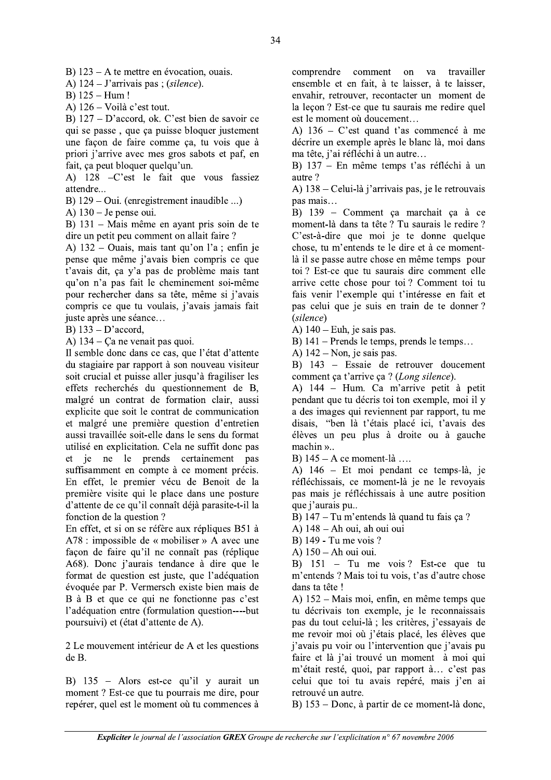B)  $123 - A$  te mettre en évocation, ouais.

A)  $124 - J'$ arrivais pas ; *(silence)*.

B)  $125 - Hum!$ 

A)  $126 - \text{Voli}$  c'est tout.

B)  $127 - D'accord$ , ok. C'est bien de savoir ce qui se passe, que ça puisse bloquer justement une façon de faire comme ça, tu vois que à priori j'arrive avec mes gros sabots et paf, en fait, ça peut bloquer quelqu'un.

A) 128 - C'est le fait que vous fassiez attendre...

B)  $129 -$ Oui. (enregistrement inaudible ...)

A)  $130 -$  Je pense oui.

B) 131 – Mais même en ayant pris soin de te dire un petit peu comment on allait faire ?

A) 132 – Ouais, mais tant qu'on l'a ; enfin je pense que même j'avais bien compris ce que t'avais dit, ça y'a pas de problème mais tant qu'on n'a pas fait le cheminement soi-même pour rechercher dans sa tête, même si j'avais compris ce que tu voulais, j'avais jamais fait juste après une séance...

B)  $133 - D$ 'accord,

A)  $134 - Ca$  ne venait pas quoi.

Il semble donc dans ce cas, que l'état d'attente du stagiaire par rapport à son nouveau visiteur soit crucial et puisse aller jusqu'à fragiliser les effets recherchés du questionnement de B, malgré un contrat de formation clair, aussi explicite que soit le contrat de communication et malgré une première question d'entretien aussi travaillée soit-elle dans le sens du format utilisé en explicitation. Cela ne suffit donc pas et je ne le prends certainement pas suffisamment en compte à ce moment précis. En effet, le premier vécu de Benoit de la première visite qui le place dans une posture d'attente de ce qu'il connaît déjà parasite-t-il la fonction de la question ?

En effet, et si on se réfère aux répliques B51 à A78 : impossible de « mobiliser » A avec une façon de faire qu'il ne connaît pas (réplique A68). Donc j'aurais tendance à dire que le format de question est juste, que l'adéquation évoquée par P. Vermersch existe bien mais de B à B et que ce qui ne fonctionne pas c'est l'adéquation entre (formulation question----but) poursuivi) et (état d'attente de A).

2 Le mouvement intérieur de A et les questions de B.

B)  $135$  – Alors est-ce qu'il y aurait un moment? Est-ce que tu pourrais me dire, pour repérer, quel est le moment où tu commences à comprendre comment on va travailler ensemble et en fait, à te laisser, à te laisser, envahir, retrouver, recontacter un moment de la leçon ? Est-ce que tu saurais me redire quel est le moment où doucement...

A)  $136 - C$  est quand t'as commencé à me décrire un exemple après le blanc là, moi dans ma tête, j'ai réfléchi à un autre...

B) 137 - En même temps t'as réfléchi à un autre?

A) 138 – Celui-là j'arrivais pas, je le retrouvais pas mais...

B) 139 - Comment ça marchait ça à ce moment-là dans ta tête ? Tu saurais le redire ? C'est-à-dire que moi je te donne quelque chose, tu m'entends te le dire et à ce momentlà il se passe autre chose en même temps pour toi? Est-ce que tu saurais dire comment elle arrive cette chose pour toi? Comment toi tu fais venir l'exemple qui t'intéresse en fait et pas celui que je suis en train de te donner? (silence)

A)  $140 - Euh$ , je sais pas.

B) 141 – Prends le temps, prends le temps...

A)  $142 - \text{Non}$ , je sais pas.

B) 143 – Essaie de retrouver doucement comment ça t'arrive ça ? (Long silence).

A) 144 – Hum. Ca m'arrive petit à petit pendant que tu décris toi ton exemple, moi il y a des images qui reviennent par rapport, tu me disais, "ben là t'étais placé ici, t'avais des élèves un peu plus à droite ou à gauche  $machine$   $\ldots$ 

B)  $145 - A$  ce moment-là ...

A) 146 – Et moi pendant ce temps-là, je réfléchissais, ce moment-là je ne le revoyais pas mais je réfléchissais à une autre position que j'aurais pu...

B) 147 – Tu m'entends là quand tu fais ça ?

- A) 148 Ah oui, ah oui oui
- B) 149 Tu me vois ?
- A) 150 Ah oui oui.

B)  $151 - Tu$  me vois? Est-ce que tu m'entends ? Mais toi tu vois, t'as d'autre chose dans ta tête !

A) 152 – Mais moi, enfin, en même temps que tu décrivais ton exemple, je le reconnaissais pas du tout celui-là ; les critères, j'essayais de me revoir moi où i'étais placé, les élèves que j'avais pu voir ou l'intervention que j'avais pu faire et là j'ai trouvé un moment à moi qui m'était resté, quoi, par rapport à... c'est pas celui que toi tu avais repéré, mais j'en ai retrouvé un autre.

B) 153 – Donc, à partir de ce moment-là donc,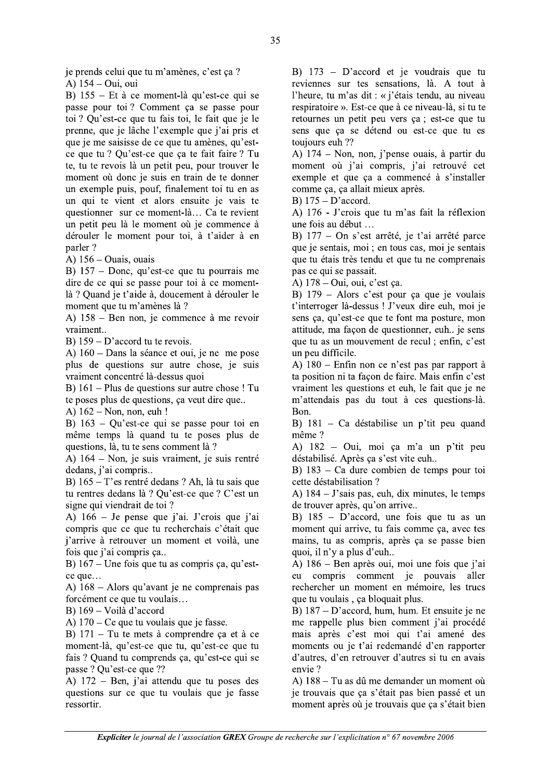je prends celui que tu m'amènes, c'est ça ?

A) 154 – Oui, oui

B) 155 – Et à ce moment-là qu'est-ce qui se passe pour toi? Comment ça se passe pour toi ? Qu'est-ce que tu fais toi, le fait que je le prenne, que je lâche l'exemple que j'ai pris et que je me saisisse de ce que tu amènes, qu'estce que tu ? Qu'est-ce que ça te fait faire ? Tu te, tu te revois là un petit peu, pour trouver le moment où donc je suis en train de te donner un exemple puis, pouf, finalement toi tu en as un qui te vient et alors ensuite je vais te questionner sur ce moment-là... Ca te revient un petit peu là le moment où je commence à dérouler le moment pour toi, à t'aider à en parler?

A)  $156 - Quais$ , ouais

B)  $157 -$ Donc, qu'est-ce que tu pourrais me dire de ce qui se passe pour toi à ce momentlà ? Quand je t'aide à, doucement à dérouler le moment que tu m'amènes là ?

A)  $158 -$ Ben non, je commence à me revoir vraiment..

B)  $159 - D'accord$  tu te revois.

A)  $160 -$ Dans la séance et oui, je ne me pose plus de questions sur autre chose, je suis vraiment concentré là-dessus quoi

B)  $161 -$ Plus de questions sur autre chose ! Tu te poses plus de questions, ça veut dire que...

A)  $162 - \text{Non}$ , non, euh !

B)  $163 - Ou'est-ce qui se passe pour toi en$ même temps là quand tu te poses plus de questions, là, tu te sens comment là ?

A) 164 – Non, je suis vraiment, je suis rentré dedans, j'ai compris...

B)  $165 - T$ 'es rentré dedans ? Ah, là tu sais que tu rentres dedans là ? Ou'est-ce que ? C'est un signe qui viendrait de toi ?

A)  $166 -$  Je pense que j'ai. J'crois que j'ai compris que ce que tu recherchais c'était que j'arrive à retrouver un moment et voilà, une fois que j'ai compris ça..

B)  $167 -$ Une fois que tu as compris ca, qu'estce que...

A)  $168 -$ Alors qu'avant je ne comprenais pas forcément ce que tu voulais...

B)  $169 - Voilà d'accord$ 

A)  $170 - Ce$  que tu voulais que je fasse.

B)  $171 - Tu$  te mets à comprendre ca et à ce moment-là, qu'est-ce que tu, qu'est-ce que tu fais? Ouand tu comprends ca. qu'est-ce qui se passe ? Qu'est-ce que ??

A)  $172$  – Ben, j'ai attendu que tu poses des questions sur ce que tu voulais que je fasse ressortir.

B)  $173$  – D'accord et je voudrais que tu reviennes sur tes sensations, là. A tout à l'heure, tu m'as dit : « j'étais tendu, au niveau respiratoire ». Est-ce que à ce niveau-là, si tu te retournes un petit peu vers ça ; est-ce que tu sens que ca se détend ou est-ce que tu es toujours euh ??

A) 174 – Non, non, j'pense ouais, à partir du moment où j'ai compris, j'ai retrouvé cet exemple et que ça a commencé à s'installer comme ça, ça allait mieux après.

B)  $175 - D$ 'accord.

A) 176 - J'crois que tu m'as fait la réflexion une fois au début ...

B) 177 – On s'est arrêté, je t'ai arrêté parce que je sentais, moi ; en tous cas, moi je sentais que tu étais très tendu et que tu ne comprenais pas ce qui se passait.

A) 178 – Oui, oui, c'est ça.

B)  $179$  – Alors c'est pour ça que je voulais t'interroger là-dessus ! J'veux dire euh, moi je sens ça, qu'est-ce que te font ma posture, mon attitude, ma façon de questionner, euh.. je sens que tu as un mouvement de recul : enfin. c'est un peu difficile.

A)  $180$  – Enfin non ce n'est pas par rapport à ta position ni ta façon de faire. Mais enfin c'est vraiment les questions et euh, le fait que je ne m'attendais pas du tout à ces questions-là. Bon.

B)  $181 - Ca$  déstabilise un p'tit peu quand même ?

A) 182 – Oui, moi ça m'a un p'tit peu déstabilisé. Après ça s'est vite euh..

B)  $183 - Ca$  dure combien de temps pour toi cette déstabilisation ?

A)  $184 - J$ 'sais pas, euh, dix minutes, le temps de trouver après, qu'on arrive..

B)  $185 - D'accord$ , une fois que tu as un moment qui arrive, tu fais comme ça, avec tes mains, tu as compris, après ça se passe bien quoi, il n'y a plus d'euh...

A) 186 – Ben après oui, moi une fois que j'ai eu compris comment je pouvais aller rechercher un moment en mémoire, les trucs que tu voulais, ça bloquait plus.

B)  $187 - D'accord$ , hum, hum. Et ensuite je ne me rappelle plus bien comment j'ai procédé mais après c'est moi qui t'ai amené des moments ou je t'ai redemandé d'en rapporter d'autres, d'en retrouver d'autres si tu en avais envie?

A) 188 – Tu as dû me demander un moment où je trouvais que ça s'était pas bien passé et un moment après où je trouvais que ça s'était bien